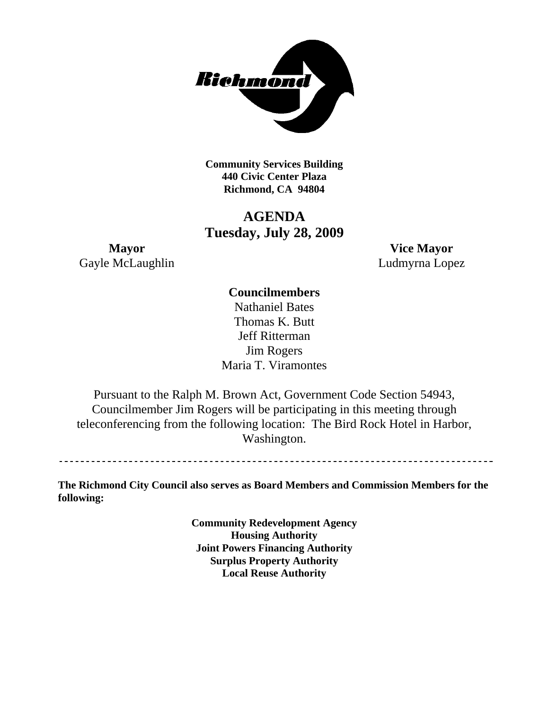

**Community Services Building 440 Civic Center Plaza Richmond, CA 94804** 

# **AGENDA Tuesday, July 28, 2009**

Gayle McLaughlin Ludmyrna Lopez

**Mayor Vice Mayor** 

# **Councilmembers**

Nathaniel Bates Thomas K. Butt Jeff Ritterman Jim Rogers Maria T. Viramontes

Pursuant to the Ralph M. Brown Act, Government Code Section 54943, Councilmember Jim Rogers will be participating in this meeting through teleconferencing from the following location: The Bird Rock Hotel in Harbor, Washington.

**The Richmond City Council also serves as Board Members and Commission Members for the following:** 

> **Community Redevelopment Agency Housing Authority Joint Powers Financing Authority Surplus Property Authority Local Reuse Authority**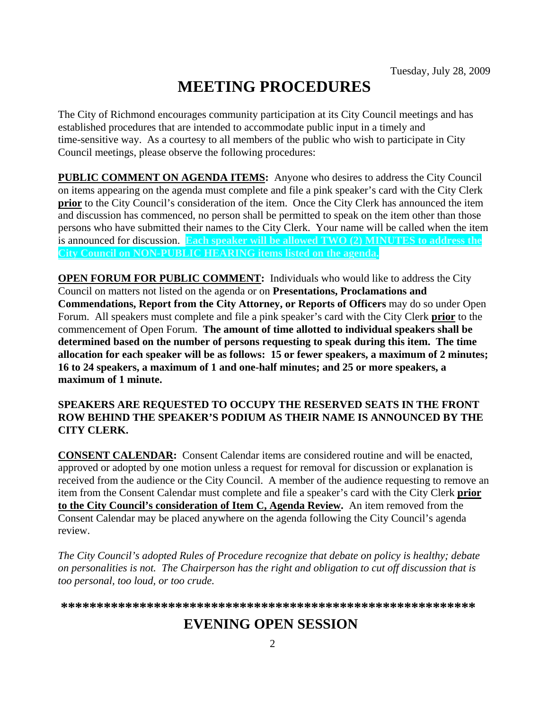# **MEETING PROCEDURES**

The City of Richmond encourages community participation at its City Council meetings and has established procedures that are intended to accommodate public input in a timely and time-sensitive way. As a courtesy to all members of the public who wish to participate in City Council meetings, please observe the following procedures:

**PUBLIC COMMENT ON AGENDA ITEMS:** Anyone who desires to address the City Council on items appearing on the agenda must complete and file a pink speaker's card with the City Clerk **prior** to the City Council's consideration of the item. Once the City Clerk has announced the item and discussion has commenced, no person shall be permitted to speak on the item other than those persons who have submitted their names to the City Clerk. Your name will be called when the item is announced for discussion. **Each speaker will be allowed TWO (2) MINUTES to address the City Council on NON-PUBLIC HEARING items listed on the agenda.** 

**OPEN FORUM FOR PUBLIC COMMENT:** Individuals who would like to address the City Council on matters not listed on the agenda or on **Presentations, Proclamations and Commendations, Report from the City Attorney, or Reports of Officers** may do so under Open Forum. All speakers must complete and file a pink speaker's card with the City Clerk **prior** to the commencement of Open Forum. **The amount of time allotted to individual speakers shall be determined based on the number of persons requesting to speak during this item. The time allocation for each speaker will be as follows: 15 or fewer speakers, a maximum of 2 minutes; 16 to 24 speakers, a maximum of 1 and one-half minutes; and 25 or more speakers, a maximum of 1 minute.** 

#### **SPEAKERS ARE REQUESTED TO OCCUPY THE RESERVED SEATS IN THE FRONT ROW BEHIND THE SPEAKER'S PODIUM AS THEIR NAME IS ANNOUNCED BY THE CITY CLERK.**

**CONSENT CALENDAR:** Consent Calendar items are considered routine and will be enacted, approved or adopted by one motion unless a request for removal for discussion or explanation is received from the audience or the City Council. A member of the audience requesting to remove an item from the Consent Calendar must complete and file a speaker's card with the City Clerk **prior to the City Council's consideration of Item C, Agenda Review.** An item removed from the Consent Calendar may be placed anywhere on the agenda following the City Council's agenda review.

*The City Council's adopted Rules of Procedure recognize that debate on policy is healthy; debate on personalities is not. The Chairperson has the right and obligation to cut off discussion that is too personal, too loud, or too crude.* 

**\*\*\*\*\*\*\*\*\*\*\*\*\*\*\*\*\*\*\*\*\*\*\*\*\*\*\*\*\*\*\*\*\*\*\*\*\*\*\*\*\*\*\*\*\*\*\*\*\*\*\*\*\*\*\*\*\*\***

# **EVENING OPEN SESSION**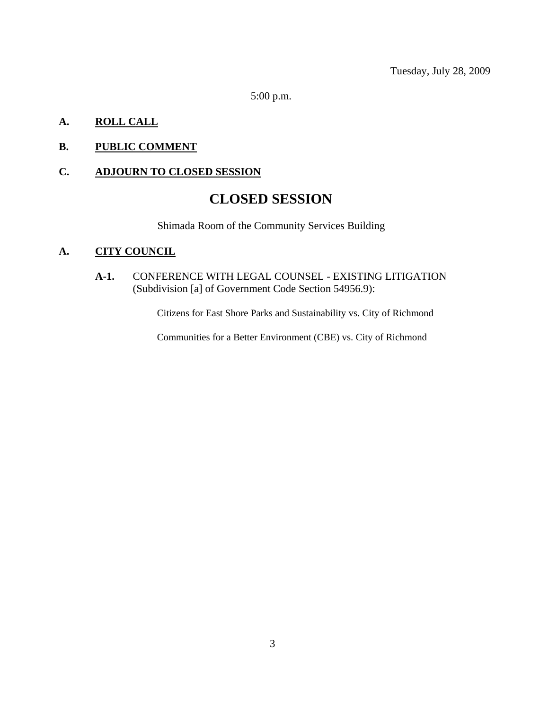5:00 p.m.

# **A. ROLL CALL**

# **B. PUBLIC COMMENT**

### **C. ADJOURN TO CLOSED SESSION**

# **CLOSED SESSION**

Shimada Room of the Community Services Building

### **A. CITY COUNCIL**

**A-1.** CONFERENCE WITH LEGAL COUNSEL - EXISTING LITIGATION (Subdivision [a] of Government Code Section 54956.9):

Citizens for East Shore Parks and Sustainability vs. City of Richmond

Communities for a Better Environment (CBE) vs. City of Richmond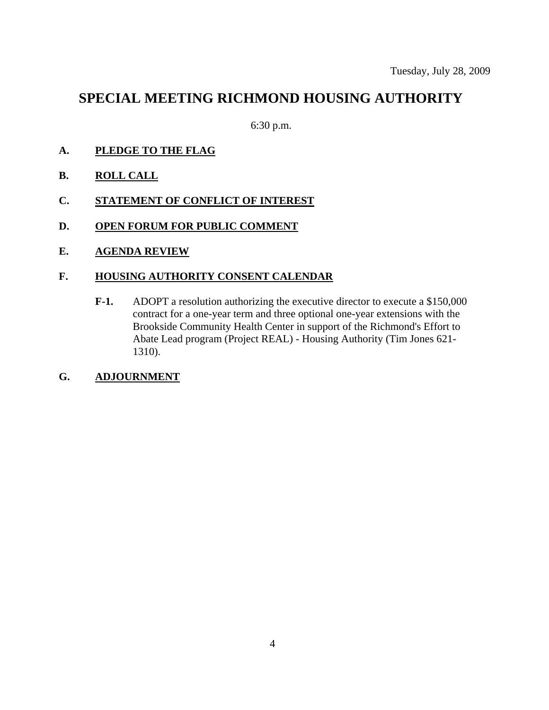# **SPECIAL MEETING RICHMOND HOUSING AUTHORITY**

6:30 p.m.

- **A. PLEDGE TO THE FLAG**
- **B. ROLL CALL**
- **C. STATEMENT OF CONFLICT OF INTEREST**
- **D. OPEN FORUM FOR PUBLIC COMMENT**
- **E. AGENDA REVIEW**

#### **F. HOUSING AUTHORITY CONSENT CALENDAR**

- **F-1.** ADOPT a resolution authorizing the executive director to execute a \$150,000 contract for a one-year term and three optional one-year extensions with the Brookside Community Health Center in support of the Richmond's Effort to Abate Lead program (Project REAL) - Housing Authority (Tim Jones 621- 1310).
- **G. ADJOURNMENT**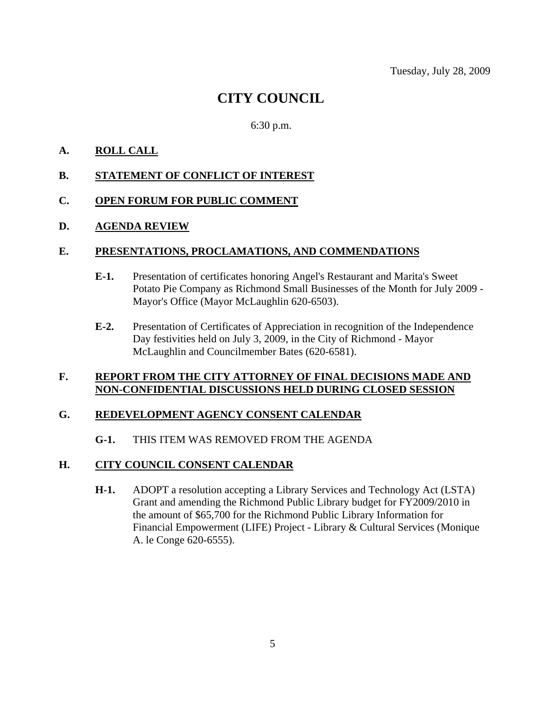Tuesday, July 28, 2009

# **CITY COUNCIL**

#### 6:30 p.m.

### **A. ROLL CALL**

#### **B. STATEMENT OF CONFLICT OF INTEREST**

#### **C. OPEN FORUM FOR PUBLIC COMMENT**

#### **D. AGENDA REVIEW**

#### **E. PRESENTATIONS, PROCLAMATIONS, AND COMMENDATIONS**

- **E-1.** Presentation of certificates honoring Angel's Restaurant and Marita's Sweet Potato Pie Company as Richmond Small Businesses of the Month for July 2009 - Mayor's Office (Mayor McLaughlin 620-6503).
- **E-2.** Presentation of Certificates of Appreciation in recognition of the Independence Day festivities held on July 3, 2009, in the City of Richmond - Mayor McLaughlin and Councilmember Bates (620-6581).

#### **F. REPORT FROM THE CITY ATTORNEY OF FINAL DECISIONS MADE AND NON-CONFIDENTIAL DISCUSSIONS HELD DURING CLOSED SESSION**

#### **G. REDEVELOPMENT AGENCY CONSENT CALENDAR**

#### **G-1.** THIS ITEM WAS REMOVED FROM THE AGENDA

#### **H. CITY COUNCIL CONSENT CALENDAR**

**H-1.** ADOPT a resolution accepting a Library Services and Technology Act (LSTA) Grant and amending the Richmond Public Library budget for FY2009/2010 in the amount of \$65,700 for the Richmond Public Library Information for Financial Empowerment (LIFE) Project - Library & Cultural Services (Monique A. le Conge 620-6555).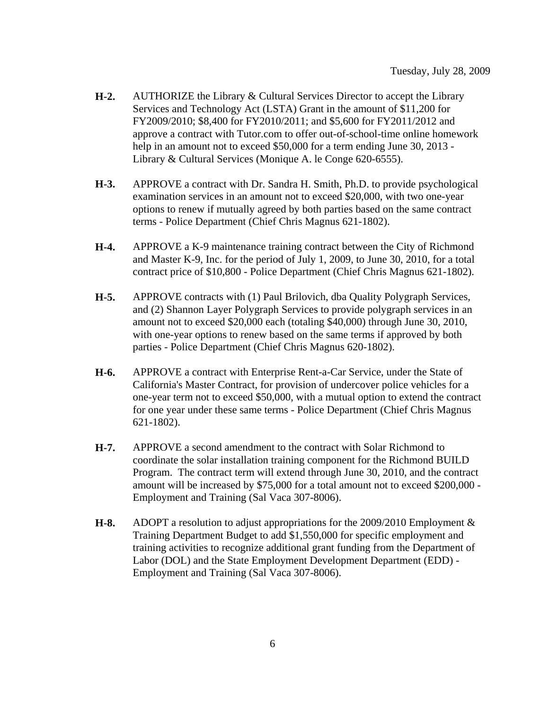- **H-2.** AUTHORIZE the Library & Cultural Services Director to accept the Library Services and Technology Act (LSTA) Grant in the amount of \$11,200 for FY2009/2010; \$8,400 for FY2010/2011; and \$5,600 for FY2011/2012 and approve a contract with Tutor.com to offer out-of-school-time online homework help in an amount not to exceed \$50,000 for a term ending June 30, 2013 -Library & Cultural Services (Monique A. le Conge 620-6555).
- **H-3.** APPROVE a contract with Dr. Sandra H. Smith, Ph.D. to provide psychological examination services in an amount not to exceed \$20,000, with two one-year options to renew if mutually agreed by both parties based on the same contract terms - Police Department (Chief Chris Magnus 621-1802).
- **H-4.** APPROVE a K-9 maintenance training contract between the City of Richmond and Master K-9, Inc. for the period of July 1, 2009, to June 30, 2010, for a total contract price of \$10,800 - Police Department (Chief Chris Magnus 621-1802).
- **H-5.** APPROVE contracts with (1) Paul Brilovich, dba Quality Polygraph Services, and (2) Shannon Layer Polygraph Services to provide polygraph services in an amount not to exceed \$20,000 each (totaling \$40,000) through June 30, 2010, with one-year options to renew based on the same terms if approved by both parties - Police Department (Chief Chris Magnus 620-1802).
- **H-6.** APPROVE a contract with Enterprise Rent-a-Car Service, under the State of California's Master Contract, for provision of undercover police vehicles for a one-year term not to exceed \$50,000, with a mutual option to extend the contract for one year under these same terms - Police Department (Chief Chris Magnus 621-1802).
- **H-7.** APPROVE a second amendment to the contract with Solar Richmond to coordinate the solar installation training component for the Richmond BUILD Program. The contract term will extend through June 30, 2010, and the contract amount will be increased by \$75,000 for a total amount not to exceed \$200,000 - Employment and Training (Sal Vaca 307-8006).
- **H-8.** ADOPT a resolution to adjust appropriations for the 2009/2010 Employment & Training Department Budget to add \$1,550,000 for specific employment and training activities to recognize additional grant funding from the Department of Labor (DOL) and the State Employment Development Department (EDD) - Employment and Training (Sal Vaca 307-8006).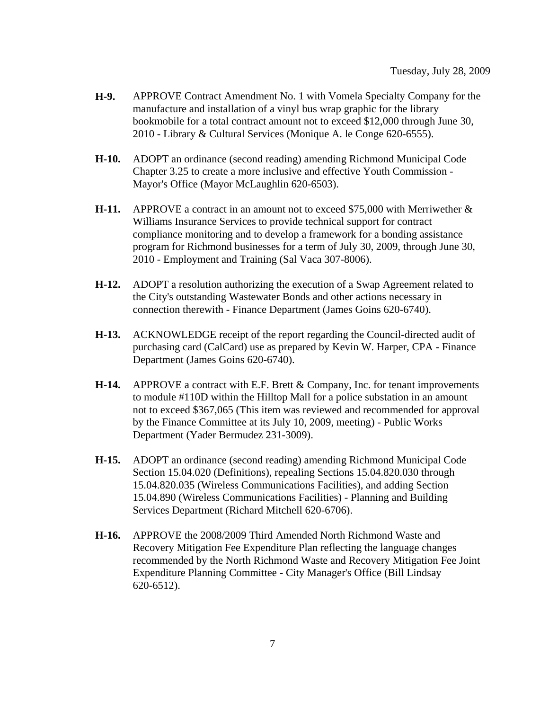- **H-9.** APPROVE Contract Amendment No. 1 with Vomela Specialty Company for the manufacture and installation of a vinyl bus wrap graphic for the library bookmobile for a total contract amount not to exceed \$12,000 through June 30, 2010 - Library & Cultural Services (Monique A. le Conge 620-6555).
- **H-10.** ADOPT an ordinance (second reading) amending Richmond Municipal Code Chapter 3.25 to create a more inclusive and effective Youth Commission - Mayor's Office (Mayor McLaughlin 620-6503).
- **H-11.** APPROVE a contract in an amount not to exceed \$75,000 with Merriwether & Williams Insurance Services to provide technical support for contract compliance monitoring and to develop a framework for a bonding assistance program for Richmond businesses for a term of July 30, 2009, through June 30, 2010 - Employment and Training (Sal Vaca 307-8006).
- **H-12.** ADOPT a resolution authorizing the execution of a Swap Agreement related to the City's outstanding Wastewater Bonds and other actions necessary in connection therewith - Finance Department (James Goins 620-6740).
- **H-13.** ACKNOWLEDGE receipt of the report regarding the Council-directed audit of purchasing card (CalCard) use as prepared by Kevin W. Harper, CPA - Finance Department (James Goins 620-6740).
- **H-14.** APPROVE a contract with E.F. Brett & Company, Inc. for tenant improvements to module #110D within the Hilltop Mall for a police substation in an amount not to exceed \$367,065 (This item was reviewed and recommended for approval by the Finance Committee at its July 10, 2009, meeting) - Public Works Department (Yader Bermudez 231-3009).
- **H-15.** ADOPT an ordinance (second reading) amending Richmond Municipal Code Section 15.04.020 (Definitions), repealing Sections 15.04.820.030 through 15.04.820.035 (Wireless Communications Facilities), and adding Section 15.04.890 (Wireless Communications Facilities) - Planning and Building Services Department (Richard Mitchell 620-6706).
- **H-16.** APPROVE the 2008/2009 Third Amended North Richmond Waste and Recovery Mitigation Fee Expenditure Plan reflecting the language changes recommended by the North Richmond Waste and Recovery Mitigation Fee Joint Expenditure Planning Committee - City Manager's Office (Bill Lindsay 620-6512).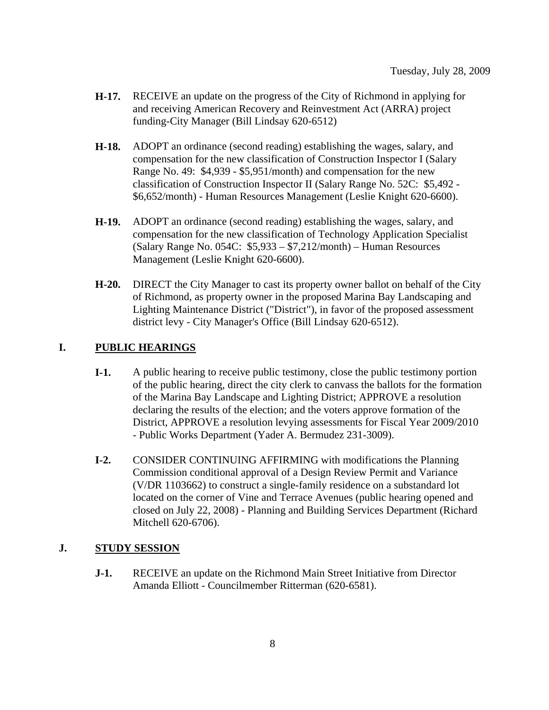- **H-17.** RECEIVE an update on the progress of the City of Richmond in applying for and receiving American Recovery and Reinvestment Act (ARRA) project funding-City Manager (Bill Lindsay 620-6512)
- **H-18.** ADOPT an ordinance (second reading) establishing the wages, salary, and compensation for the new classification of Construction Inspector I (Salary Range No. 49: \$4,939 - \$5,951/month) and compensation for the new classification of Construction Inspector II (Salary Range No. 52C: \$5,492 - \$6,652/month) - Human Resources Management (Leslie Knight 620-6600).
- **H-19.** ADOPT an ordinance (second reading) establishing the wages, salary, and compensation for the new classification of Technology Application Specialist (Salary Range No. 054C: \$5,933 – \$7,212/month) – Human Resources Management (Leslie Knight 620-6600).
- **H-20.** DIRECT the City Manager to cast its property owner ballot on behalf of the City of Richmond, as property owner in the proposed Marina Bay Landscaping and Lighting Maintenance District ("District"), in favor of the proposed assessment district levy - City Manager's Office (Bill Lindsay 620-6512).

# **I. PUBLIC HEARINGS**

- **I-1.** A public hearing to receive public testimony, close the public testimony portion of the public hearing, direct the city clerk to canvass the ballots for the formation of the Marina Bay Landscape and Lighting District; APPROVE a resolution declaring the results of the election; and the voters approve formation of the District, APPROVE a resolution levying assessments for Fiscal Year 2009/2010 - Public Works Department (Yader A. Bermudez 231-3009).
- **I-2.** CONSIDER CONTINUING AFFIRMING with modifications the Planning Commission conditional approval of a Design Review Permit and Variance (V/DR 1103662) to construct a single-family residence on a substandard lot located on the corner of Vine and Terrace Avenues (public hearing opened and closed on July 22, 2008) - Planning and Building Services Department (Richard Mitchell 620-6706).

### **J. STUDY SESSION**

**J-1.** RECEIVE an update on the Richmond Main Street Initiative from Director Amanda Elliott - Councilmember Ritterman (620-6581).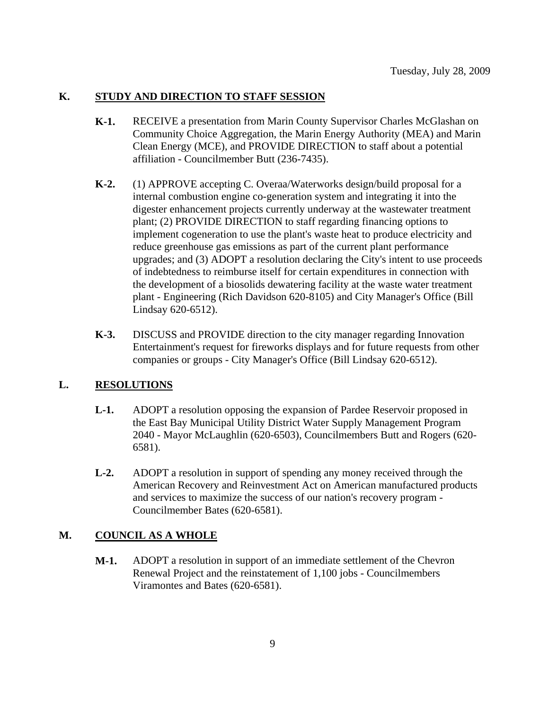#### **K. STUDY AND DIRECTION TO STAFF SESSION**

- **K-1.** RECEIVE a presentation from Marin County Supervisor Charles McGlashan on Community Choice Aggregation, the Marin Energy Authority (MEA) and Marin Clean Energy (MCE), and PROVIDE DIRECTION to staff about a potential affiliation - Councilmember Butt (236-7435).
- **K-2.** (1) APPROVE accepting C. Overaa/Waterworks design/build proposal for a internal combustion engine co-generation system and integrating it into the digester enhancement projects currently underway at the wastewater treatment plant; (2) PROVIDE DIRECTION to staff regarding financing options to implement cogeneration to use the plant's waste heat to produce electricity and reduce greenhouse gas emissions as part of the current plant performance upgrades; and (3) ADOPT a resolution declaring the City's intent to use proceeds of indebtedness to reimburse itself for certain expenditures in connection with the development of a biosolids dewatering facility at the waste water treatment plant - Engineering (Rich Davidson 620-8105) and City Manager's Office (Bill Lindsay 620-6512).
- **K-3.** DISCUSS and PROVIDE direction to the city manager regarding Innovation Entertainment's request for fireworks displays and for future requests from other companies or groups - City Manager's Office (Bill Lindsay 620-6512).

#### **L. RESOLUTIONS**

- **L-1.** ADOPT a resolution opposing the expansion of Pardee Reservoir proposed in the East Bay Municipal Utility District Water Supply Management Program 2040 - Mayor McLaughlin (620-6503), Councilmembers Butt and Rogers (620- 6581).
- **L-2.** ADOPT a resolution in support of spending any money received through the American Recovery and Reinvestment Act on American manufactured products and services to maximize the success of our nation's recovery program - Councilmember Bates (620-6581).

#### **M. COUNCIL AS A WHOLE**

**M-1.** ADOPT a resolution in support of an immediate settlement of the Chevron Renewal Project and the reinstatement of 1,100 jobs - Councilmembers Viramontes and Bates (620-6581).